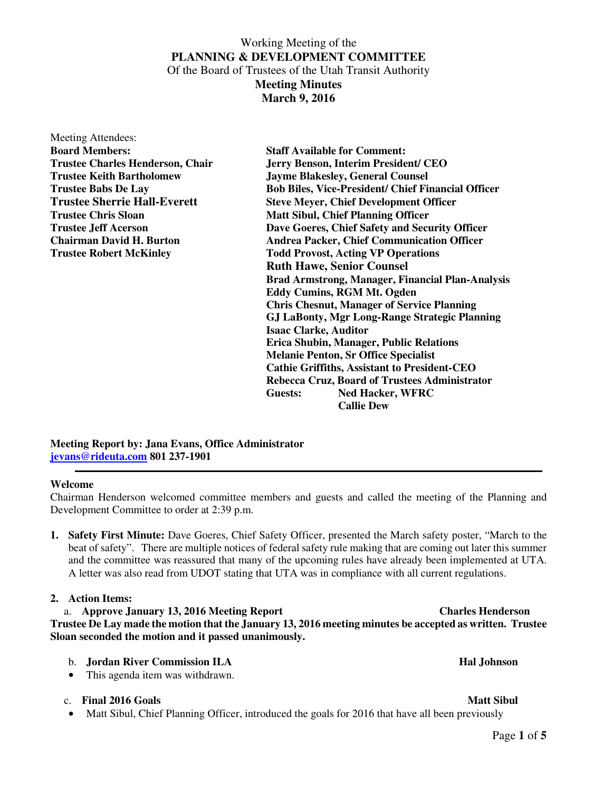# Working Meeting of the **PLANNING & DEVELOPMENT COMMITTEE**  Of the Board of Trustees of the Utah Transit Authority **Meeting Minutes**

**March 9, 2016** 

Meeting Attendees: **Board Members: Staff Available for Comment:** 

**Trustee Charles Henderson, Chair Jerry Benson, Interim President/ CEO Trustee Keith Bartholomew Jayme Blakesley, General Counsel Trustee Babs De Lay Bob Biles, Vice-President/ Chief Financial Officer Trustee Sherrie Hall-Everett Steve Meyer, Chief Development Officer Trustee Chris Sloan Matt Sibul, Chief Planning Officer Trustee Jeff Acerson Dave Goeres, Chief Safety and Security Officer Chairman David H. Burton Andrea Packer, Chief Communication Officer Trustee Robert McKinley Todd Provost, Acting VP Operations Ruth Hawe, Senior Counsel Brad Armstrong, Manager, Financial Plan-Analysis Eddy Cumins, RGM Mt. Ogden Chris Chesnut, Manager of Service Planning GJ LaBonty, Mgr Long-Range Strategic Planning Isaac Clarke, Auditor Erica Shubin, Manager, Public Relations Melanie Penton, Sr Office Specialist Cathie Griffiths, Assistant to President-CEO Rebecca Cruz, Board of Trustees Administrator Guests: Ned Hacker, WFRC Callie Dew** 

**Meeting Report by: Jana Evans, Office Administrator jevans@rideuta.com 801 237-1901** 

# **Welcome**

Chairman Henderson welcomed committee members and guests and called the meeting of the Planning and Development Committee to order at 2:39 p.m.

**1. Safety First Minute:** Dave Goeres, Chief Safety Officer, presented the March safety poster, "March to the beat of safety". There are multiple notices of federal safety rule making that are coming out later this summer and the committee was reassured that many of the upcoming rules have already been implemented at UTA. A letter was also read from UDOT stating that UTA was in compliance with all current regulations.

# **2. Action Items:**

a. **Approve January 13, 2016 Meeting Report Charles Henderson Trustee De Lay made the motion that the January 13, 2016 meeting minutes be accepted as written. Trustee Sloan seconded the motion and it passed unanimously.** 

- b. **Jordan River Commission ILA Hal Johnson Hal Johnson**
- This agenda item was withdrawn.

# c. **Final 2016 Goals** Matt Sibul **Matt Sibul Account Contract Account Contract Account Contract Account Matt Sibul Account Account Account Account Matt Sibul Account Account Account Account Account Account Account Account**

• Matt Sibul, Chief Planning Officer, introduced the goals for 2016 that have all been previously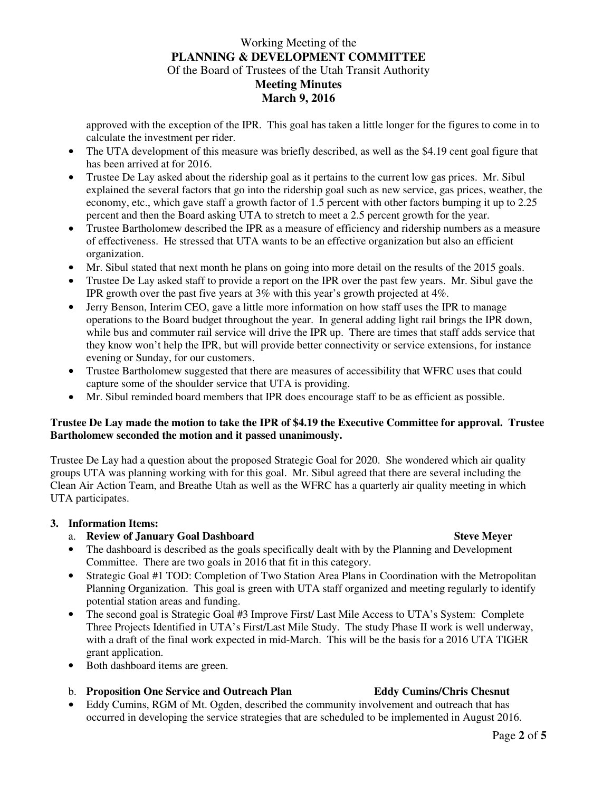# Working Meeting of the **PLANNING & DEVELOPMENT COMMITTEE**  Of the Board of Trustees of the Utah Transit Authority **Meeting Minutes March 9, 2016**

approved with the exception of the IPR. This goal has taken a little longer for the figures to come in to calculate the investment per rider.

- The UTA development of this measure was briefly described, as well as the \$4.19 cent goal figure that has been arrived at for 2016.
- Trustee De Lay asked about the ridership goal as it pertains to the current low gas prices. Mr. Sibul explained the several factors that go into the ridership goal such as new service, gas prices, weather, the economy, etc., which gave staff a growth factor of 1.5 percent with other factors bumping it up to 2.25 percent and then the Board asking UTA to stretch to meet a 2.5 percent growth for the year.
- Trustee Bartholomew described the IPR as a measure of efficiency and ridership numbers as a measure of effectiveness. He stressed that UTA wants to be an effective organization but also an efficient organization.
- Mr. Sibul stated that next month he plans on going into more detail on the results of the 2015 goals.
- Trustee De Lay asked staff to provide a report on the IPR over the past few years. Mr. Sibul gave the IPR growth over the past five years at 3% with this year's growth projected at 4%.
- Jerry Benson, Interim CEO, gave a little more information on how staff uses the IPR to manage operations to the Board budget throughout the year. In general adding light rail brings the IPR down, while bus and commuter rail service will drive the IPR up. There are times that staff adds service that they know won't help the IPR, but will provide better connectivity or service extensions, for instance evening or Sunday, for our customers.
- Trustee Bartholomew suggested that there are measures of accessibility that WFRC uses that could capture some of the shoulder service that UTA is providing.
- Mr. Sibul reminded board members that IPR does encourage staff to be as efficient as possible.

# **Trustee De Lay made the motion to take the IPR of \$4.19 the Executive Committee for approval. Trustee Bartholomew seconded the motion and it passed unanimously.**

Trustee De Lay had a question about the proposed Strategic Goal for 2020. She wondered which air quality groups UTA was planning working with for this goal. Mr. Sibul agreed that there are several including the Clean Air Action Team, and Breathe Utah as well as the WFRC has a quarterly air quality meeting in which UTA participates.

# **3. Information Items:**

# a. **Review of January Goal Dashboard Steve Meyer 3 Access 1988** Steve Meyer **Steve Meyer Steve Meyer**

- The dashboard is described as the goals specifically dealt with by the Planning and Development Committee. There are two goals in 2016 that fit in this category.
- Strategic Goal #1 TOD: Completion of Two Station Area Plans in Coordination with the Metropolitan Planning Organization. This goal is green with UTA staff organized and meeting regularly to identify potential station areas and funding.
- The second goal is Strategic Goal #3 Improve First/ Last Mile Access to UTA's System: Complete Three Projects Identified in UTA's First/Last Mile Study. The study Phase II work is well underway, with a draft of the final work expected in mid-March. This will be the basis for a 2016 UTA TIGER grant application.
- Both dashboard items are green.

# b. **Proposition One Service and Outreach Plan Eddy Cumins/Chris Chesnut**

• Eddy Cumins, RGM of Mt. Ogden, described the community involvement and outreach that has occurred in developing the service strategies that are scheduled to be implemented in August 2016.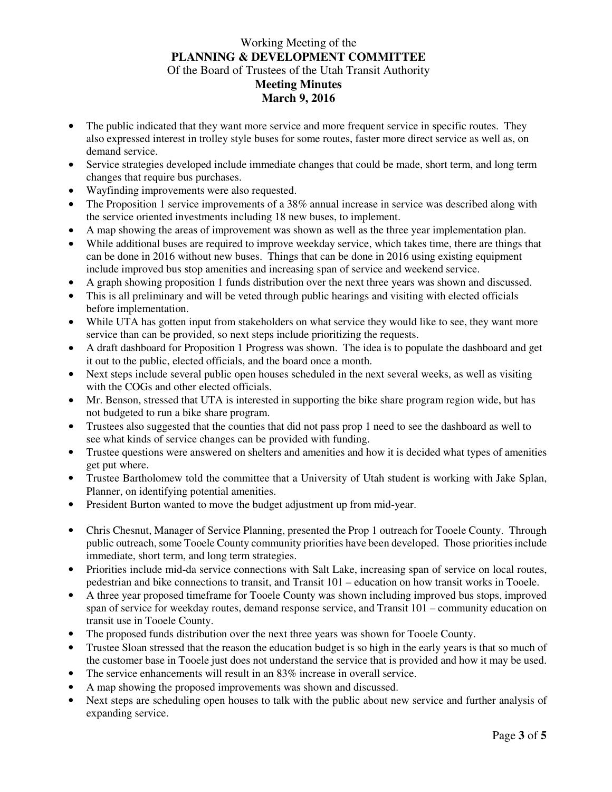# Working Meeting of the **PLANNING & DEVELOPMENT COMMITTEE**  Of the Board of Trustees of the Utah Transit Authority **Meeting Minutes March 9, 2016**

- The public indicated that they want more service and more frequent service in specific routes. They also expressed interest in trolley style buses for some routes, faster more direct service as well as, on demand service.
- Service strategies developed include immediate changes that could be made, short term, and long term changes that require bus purchases.
- Wayfinding improvements were also requested.
- The Proposition 1 service improvements of a 38% annual increase in service was described along with the service oriented investments including 18 new buses, to implement.
- A map showing the areas of improvement was shown as well as the three year implementation plan.
- While additional buses are required to improve weekday service, which takes time, there are things that can be done in 2016 without new buses. Things that can be done in 2016 using existing equipment include improved bus stop amenities and increasing span of service and weekend service.
- A graph showing proposition 1 funds distribution over the next three years was shown and discussed.
- This is all preliminary and will be veted through public hearings and visiting with elected officials before implementation.
- While UTA has gotten input from stakeholders on what service they would like to see, they want more service than can be provided, so next steps include prioritizing the requests.
- A draft dashboard for Proposition 1 Progress was shown. The idea is to populate the dashboard and get it out to the public, elected officials, and the board once a month.
- Next steps include several public open houses scheduled in the next several weeks, as well as visiting with the COGs and other elected officials.
- Mr. Benson, stressed that UTA is interested in supporting the bike share program region wide, but has not budgeted to run a bike share program.
- Trustees also suggested that the counties that did not pass prop 1 need to see the dashboard as well to see what kinds of service changes can be provided with funding.
- Trustee questions were answered on shelters and amenities and how it is decided what types of amenities get put where.
- Trustee Bartholomew told the committee that a University of Utah student is working with Jake Splan, Planner, on identifying potential amenities.
- President Burton wanted to move the budget adjustment up from mid-year.
- Chris Chesnut, Manager of Service Planning, presented the Prop 1 outreach for Tooele County. Through public outreach, some Tooele County community priorities have been developed. Those priorities include immediate, short term, and long term strategies.
- Priorities include mid-da service connections with Salt Lake, increasing span of service on local routes, pedestrian and bike connections to transit, and Transit 101 – education on how transit works in Tooele.
- A three year proposed timeframe for Tooele County was shown including improved bus stops, improved span of service for weekday routes, demand response service, and Transit 101 – community education on transit use in Tooele County.
- The proposed funds distribution over the next three years was shown for Tooele County.
- Trustee Sloan stressed that the reason the education budget is so high in the early years is that so much of the customer base in Tooele just does not understand the service that is provided and how it may be used.
- The service enhancements will result in an 83% increase in overall service.
- A map showing the proposed improvements was shown and discussed.
- Next steps are scheduling open houses to talk with the public about new service and further analysis of expanding service.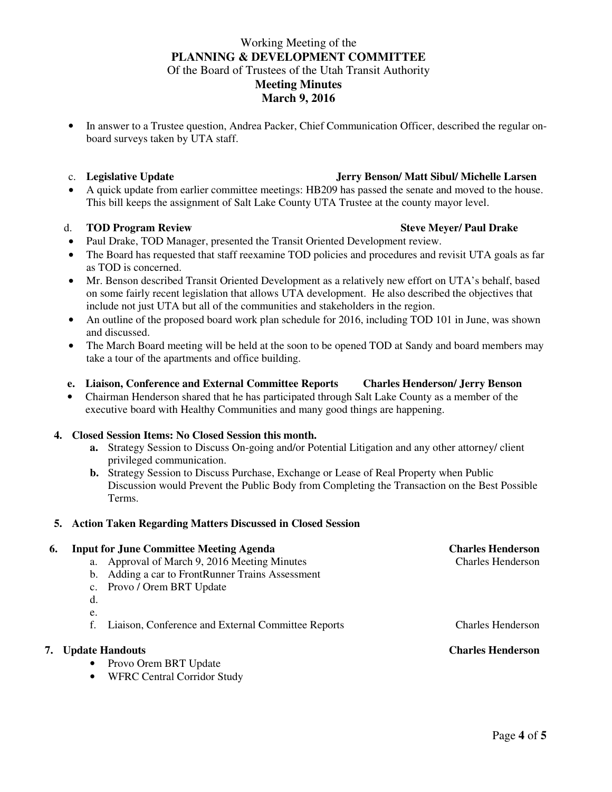# Working Meeting of the **PLANNING & DEVELOPMENT COMMITTEE**  Of the Board of Trustees of the Utah Transit Authority **Meeting Minutes March 9, 2016**

• In answer to a Trustee question, Andrea Packer, Chief Communication Officer, described the regular onboard surveys taken by UTA staff.

# c. **Legislative Update Jerry Benson/ Matt Sibul/ Michelle Larsen**

• A quick update from earlier committee meetings: HB209 has passed the senate and moved to the house. This bill keeps the assignment of Salt Lake County UTA Trustee at the county mayor level.

### d. **TOD Program Review Steve Meyer/ Paul Drake**

- Paul Drake, TOD Manager, presented the Transit Oriented Development review.
- The Board has requested that staff reexamine TOD policies and procedures and revisit UTA goals as far as TOD is concerned.
- Mr. Benson described Transit Oriented Development as a relatively new effort on UTA's behalf, based on some fairly recent legislation that allows UTA development. He also described the objectives that include not just UTA but all of the communities and stakeholders in the region.
- An outline of the proposed board work plan schedule for 2016, including TOD 101 in June, was shown and discussed.
- The March Board meeting will be held at the soon to be opened TOD at Sandy and board members may take a tour of the apartments and office building.
- **e. Liaison, Conference and External Committee Reports Charles Henderson/ Jerry Benson**
- Chairman Henderson shared that he has participated through Salt Lake County as a member of the executive board with Healthy Communities and many good things are happening.

# **4. Closed Session Items: No Closed Session this month.**

- **a.** Strategy Session to Discuss On-going and/or Potential Litigation and any other attorney/ client privileged communication.
- **b.** Strategy Session to Discuss Purchase, Exchange or Lease of Real Property when Public Discussion would Prevent the Public Body from Completing the Transaction on the Best Possible Terms.

# **5. Action Taken Regarding Matters Discussed in Closed Session**

# **6. Input for June Committee Meeting Agenda** Charles Henderson **Charles Henderson a.** Approval of March 9, 2016 Meeting Minutes **Charles Henderson Charles Henderson**

- a. Approval of March 9, 2016 Meeting Minutes
- b. Adding a car to FrontRunner Trains Assessment
- c. Provo / Orem BRT Update
- d.
- e.
- f. Liaison, Conference and External Committee Reports Charles Henderson

### **7. Update Handouts Charles Henderson**

- Provo Orem BRT Update
- WFRC Central Corridor Study